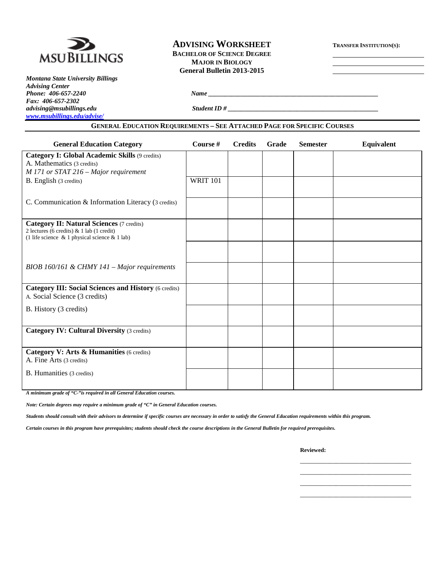

*Montana State University Billings Advising Center Phone: 406-657-2240 Name \_\_\_\_\_\_\_\_\_\_\_\_\_\_\_\_\_\_\_\_\_\_\_\_\_\_\_\_\_\_\_\_\_\_\_\_\_\_\_\_\_\_\_\_\_\_\_\_\_\_\_\_ Fax: 406-657-2302 [www.msubillings.edu/advise/](http://www.msubillings.edu/advise/)*

# **ADVISING WORKSHEET TRANSFER INSTITUTION(S): BACHELOR OF SCIENCE DEGREE MAJOR IN BIOLOGY General Bulletin 2013-2015**

*advising@msubillings.edu Student ID # \_\_\_\_\_\_\_\_\_\_\_\_\_\_\_\_\_\_\_\_\_\_\_\_\_\_\_\_\_\_\_\_\_\_\_\_\_\_\_\_\_\_\_\_\_\_*

### **GENERAL EDUCATION REQUIREMENTS – SEE ATTACHED PAGE FOR SPECIFIC COURSES**

| <b>General Education Category</b>                                                                                                                      | Course #        | <b>Credits</b> | Grade | <b>Semester</b> | Equivalent |
|--------------------------------------------------------------------------------------------------------------------------------------------------------|-----------------|----------------|-------|-----------------|------------|
| Category I: Global Academic Skills (9 credits)<br>A. Mathematics (3 credits)<br>M 171 or STAT 216 - Major requirement                                  |                 |                |       |                 |            |
| B. English (3 credits)                                                                                                                                 | <b>WRIT 101</b> |                |       |                 |            |
| C. Communication & Information Literacy (3 credits)                                                                                                    |                 |                |       |                 |            |
| <b>Category II: Natural Sciences (7 credits)</b><br>2 lectures (6 credits) $& 1$ lab (1 credit)<br>(1 life science $\&$ 1 physical science $\&$ 1 lab) |                 |                |       |                 |            |
|                                                                                                                                                        |                 |                |       |                 |            |
| BIOB 160/161 & CHMY 141 – Major requirements                                                                                                           |                 |                |       |                 |            |
| <b>Category III: Social Sciences and History (6 credits)</b><br>A. Social Science (3 credits)                                                          |                 |                |       |                 |            |
| B. History (3 credits)                                                                                                                                 |                 |                |       |                 |            |
| <b>Category IV: Cultural Diversity (3 credits)</b>                                                                                                     |                 |                |       |                 |            |
| Category V: Arts & Humanities (6 credits)<br>A. Fine Arts (3 credits)                                                                                  |                 |                |       |                 |            |
| B. Humanities (3 credits)                                                                                                                              |                 |                |       |                 |            |
|                                                                                                                                                        |                 |                |       |                 |            |

*A minimum grade of "C-"is required in all General Education courses.* 

*Note: Certain degrees may require a minimum grade of "C" in General Education courses.* 

*Students should consult with their advisors to determine if specific courses are necessary in order to satisfy the General Education requirements within this program.*

*Certain courses in this program have prerequisites; students should check the course descriptions in the General Bulletin for required prerequisites.*

**Reviewed:**

\_\_\_\_\_\_\_\_\_\_\_\_\_\_\_\_\_\_\_\_\_\_\_\_\_\_\_\_\_\_\_\_\_\_ \_\_\_\_\_\_\_\_\_\_\_\_\_\_\_\_\_\_\_\_\_\_\_\_\_\_\_\_\_\_\_\_\_\_ \_\_\_\_\_\_\_\_\_\_\_\_\_\_\_\_\_\_\_\_\_\_\_\_\_\_\_\_\_\_\_\_\_\_ \_\_\_\_\_\_\_\_\_\_\_\_\_\_\_\_\_\_\_\_\_\_\_\_\_\_\_\_\_\_\_\_\_\_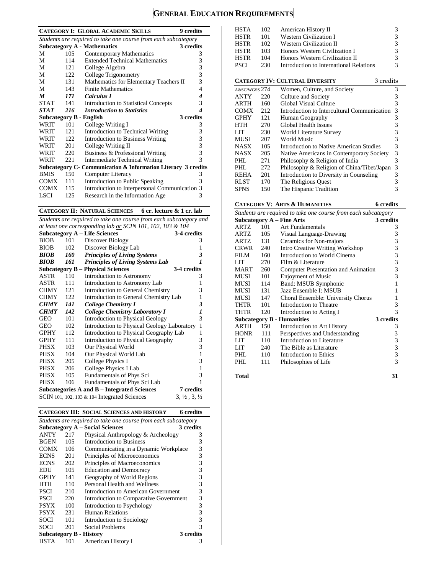# **GENERAL EDUCATION REQUIREMENTS**

|                  |      | <b>CATEGORY I: GLOBAL ACADEMIC SKILLS</b><br><b>9</b> credits  |                         |
|------------------|------|----------------------------------------------------------------|-------------------------|
|                  |      | Students are required to take one course from each subcategory |                         |
|                  |      | <b>Subcategory A - Mathematics</b><br>3 credits                |                         |
| M                | 105  | Contemporary Mathematics                                       | 3                       |
| М                | 114  | <b>Extended Technical Mathematics</b>                          | 3                       |
| M                | 121  | College Algebra                                                | 3                       |
| М                | 122  | College Trigonometry                                           | 3                       |
| М                | 131  | Mathematics for Elementary Teachers II                         | 3                       |
| М                | 143  | <b>Finite Mathematics</b>                                      | 4                       |
| $\boldsymbol{M}$ | 171  | Calculus I                                                     | 4                       |
| <b>STAT</b>      | 141  | <b>Introduction to Statistical Concepts</b>                    | 3                       |
| <b>STAT</b>      | 216  | <b>Introduction to Statistics</b>                              | 4                       |
|                  |      | 3 credits<br>Subcategory B - English                           |                         |
| WRIT             | 101  | College Writing I                                              | 3                       |
| WRIT             | 121  | Introduction to Technical Writing                              | 3                       |
| WRIT             | 122. | <b>Introduction to Business Writing</b>                        | 3                       |
| WRIT             | 201  | College Writing II                                             | $\overline{\mathbf{3}}$ |
| WRIT             | 220  | Business & Professional Writing                                | 3                       |
| WRIT             | 221  | <b>Intermediate Technical Writing</b>                          | 3                       |
|                  |      | Subcategory C - Communication & Information Literacy 3 credits |                         |
| <b>BMIS</b>      | 150  | Computer Literacy                                              | 3                       |
| COMX             | 111  | Introduction to Public Speaking                                | 3                       |
| <b>COMX</b>      | 115  | Introduction to Interpersonal Communication 3                  |                         |
| LSCI             | 125  | Research in the Information Age                                | 3                       |
|                  |      |                                                                |                         |

**CATEGORY II: NATURAL SCIENCES 6 cr. lecture & 1 cr. lab**

*Students are required to take one course from each subcategory and at least one corresponding lab or SCIN 101, 102, 103 & 104*

|             |     | <b>Subcategory A – Life Sciences</b>            | 3-4 credits                      |
|-------------|-----|-------------------------------------------------|----------------------------------|
| <b>BIOB</b> | 101 | Discover Biology                                | 3                                |
| <b>BIOB</b> | 102 | Discover Biology Lab                            | 1                                |
| <b>BIOB</b> | 160 | <b>Principles of Living Systems</b>             | 3                                |
| <b>BIOB</b> | 161 | Principles of Living Systems Lab                | 1                                |
|             |     | <b>Subcategory B – Physical Sciences</b>        | 3-4 credits                      |
| ASTR        | 110 | Introduction to Astronomy                       | 3                                |
| ASTR        | 111 | Introduction to Astronomy Lab                   | 1                                |
| <b>CHMY</b> | 121 | Introduction to General Chemistry               | 3                                |
| <b>CHMY</b> | 122 | Introduction to General Chemistry Lab           | $\mathbf{1}$                     |
| <b>CHMY</b> | 141 | College Chemistry I                             | 3                                |
| <b>CHMY</b> | 142 | <b>College Chemistry Laboratory I</b>           | 1                                |
| GEO         | 101 | <b>Introduction to Physical Geology</b>         | 3                                |
| GEO         | 102 | Introduction to Physical Geology Laboratory     | 1                                |
| <b>GPHY</b> | 112 | Introduction to Physical Geography Lab          | 1                                |
| <b>GPHY</b> | 111 | Introduction to Physical Geography              | 3                                |
| <b>PHSX</b> | 103 | Our Physical World                              | 3                                |
| <b>PHSX</b> | 104 | Our Physical World Lab                          | 1                                |
| PHSX        | 205 | College Physics I                               | 3                                |
| PHSX        | 206 | College Physics I Lab                           | 1                                |
| <b>PHSX</b> | 105 | Fundamentals of Phys Sci                        | 3                                |
| <b>PHSX</b> | 106 | Fundamentals of Phys Sci Lab                    | 1                                |
|             |     | Subcategories A and B – Integrated Sciences     | 7 credits                        |
|             |     | SCIN 101, 102, 103 $\&$ 104 Integrated Sciences | $3, \frac{1}{2}, 3, \frac{1}{2}$ |

**CATEGORY III: SOCIAL SCIENCES AND HISTORY 6 credits**

|                                                     | Students are required to take one course from each subcategory |                                        |           |  |  |  |
|-----------------------------------------------------|----------------------------------------------------------------|----------------------------------------|-----------|--|--|--|
| <b>Subcategory A – Social Sciences</b><br>3 credits |                                                                |                                        |           |  |  |  |
| ANTY                                                | 217                                                            | Physical Anthropology & Archeology     | 3         |  |  |  |
| <b>BGEN</b>                                         | 105                                                            | Introduction to Business               | 3         |  |  |  |
| <b>COMX</b>                                         | 106                                                            | Communicating in a Dynamic Workplace   | 3         |  |  |  |
| <b>ECNS</b>                                         | 201                                                            | Principles of Microeconomics           | 3         |  |  |  |
| <b>ECNS</b>                                         | 202                                                            | Principles of Macroeconomics           | 3         |  |  |  |
| EDU                                                 | 105                                                            | <b>Education and Democracy</b>         | 3         |  |  |  |
| <b>GPHY</b>                                         | 141                                                            | Geography of World Regions             | 3         |  |  |  |
| HTH                                                 | 110                                                            | Personal Health and Wellness           | 3         |  |  |  |
| <b>PSCI</b>                                         | 210                                                            | Introduction to American Government    | 3         |  |  |  |
| <b>PSCI</b>                                         | 220                                                            | Introduction to Comparative Government | 3         |  |  |  |
| <b>PSYX</b>                                         | 100                                                            | Introduction to Psychology             | 3         |  |  |  |
| <b>PSYX</b>                                         | 231                                                            | Human Relations                        | 3         |  |  |  |
| SOCI                                                | 101                                                            | Introduction to Sociology              | 3         |  |  |  |
| SOCI                                                | 201                                                            | Social Problems                        | 3         |  |  |  |
| Subcategory B - History                             |                                                                |                                        | 3 credits |  |  |  |
| HSTA                                                | 101                                                            | American History I                     | 3         |  |  |  |

| HSTA          | 102 | American History II                                 | 3 |  |  |
|---------------|-----|-----------------------------------------------------|---|--|--|
| <b>HSTR</b>   | 101 | <b>Western Civilization I</b>                       | 3 |  |  |
| <b>HSTR</b>   | 102 | <b>Western Civilization II</b>                      | 3 |  |  |
| <b>HSTR</b>   | 103 | Honors Western Civilization I                       | 3 |  |  |
| <b>HSTR</b>   | 104 | Honors Western Civilization II                      | 3 |  |  |
| PSCI          | 230 | Introduction to International Relations             |   |  |  |
|               |     |                                                     |   |  |  |
|               |     | <b>CATEGORY IV: CULTURAL DIVERSITY</b><br>3 credits |   |  |  |
| A&SC/WGSS 274 |     | Women, Culture, and Society                         | 3 |  |  |
| ANTY          | 220 | Culture and Society                                 | 3 |  |  |
| ARTH          | 160 | Global Visual Culture                               | 3 |  |  |
| COMX          | 212 | Introduction to Intercultural Communication         | 3 |  |  |
| <b>GPHY</b>   | 121 | Human Geography                                     | 3 |  |  |
| HTH           | 270 | Global Health Issues                                | 3 |  |  |
| LIT           | 230 | World Literature Survey                             | 3 |  |  |
| MUSI          | 207 | World Music                                         | 3 |  |  |
| <b>NASX</b>   | 105 | Introduction to Native American Studies             | 3 |  |  |
| NASX          | 205 | Native Americans in Contemporary Society            | 3 |  |  |
| PHL           | 271 | Philosophy & Religion of India                      | 3 |  |  |
| PHL           | 272 | Philosophy & Religion of China/Tibet/Japan          | 3 |  |  |
| <b>REHA</b>   | 201 | Introduction to Diversity in Counseling             | 3 |  |  |
| RLST          | 170 | The Religious Quest                                 | 3 |  |  |
| SPNS          | 150 | The Hispanic Tradition                              | 3 |  |  |

#### **CATEGORY V: ARTS & HUMANITIES 6 credits**

|             | Students are required to take one course from each subcategory |                                        |           |  |  |  |
|-------------|----------------------------------------------------------------|----------------------------------------|-----------|--|--|--|
|             |                                                                | <b>Subcategory A - Fine Arts</b>       | 3 credits |  |  |  |
| <b>ARTZ</b> | 101                                                            | <b>Art Fundamentals</b>                | 3         |  |  |  |
| <b>ARTZ</b> | 105                                                            | Visual Language-Drawing                | 3         |  |  |  |
| <b>ARTZ</b> | 131                                                            | Ceramics for Non-majors                | 3         |  |  |  |
| <b>CRWR</b> | 240                                                            | <b>Intro Creative Writing Workshop</b> | 3         |  |  |  |
| FILM        | 160                                                            | Introduction to World Cinema           | 3         |  |  |  |
| LIT         | 270                                                            | Film & Literature                      | 3         |  |  |  |
| <b>MART</b> | 260                                                            | Computer Presentation and Animation    | 3         |  |  |  |
| MUSI        | 101                                                            | <b>Enjoyment of Music</b>              | 3         |  |  |  |
| MUSI        | 114                                                            | Band: MSUB Symphonic                   | 1         |  |  |  |
| MUSI        | 131                                                            | Jazz Ensemble I: MSUB                  |           |  |  |  |
| MUSI        | 147                                                            | Choral Ensemble: University Chorus     | 1         |  |  |  |
| THTR        | 101                                                            | Introduction to Theatre                | 3         |  |  |  |
| THTR        | 120                                                            | Introduction to Acting I               | 3         |  |  |  |
|             |                                                                | <b>Subcategory B - Humanities</b>      | 3 credits |  |  |  |
| <b>ARTH</b> | 150                                                            | Introduction to Art History            | 3         |  |  |  |
| <b>HONR</b> | 111                                                            | Perspectives and Understanding         | 3         |  |  |  |
| LIT         | 110                                                            | Introduction to Literature             | 3         |  |  |  |
| LIT         | 240                                                            | The Bible as Literature                | 3         |  |  |  |
| PHL         | 110                                                            | Introduction to Ethics                 | 3         |  |  |  |
| PHI.        | 111                                                            | Philosophies of Life                   | 3         |  |  |  |
|             |                                                                |                                        |           |  |  |  |

**Total 31**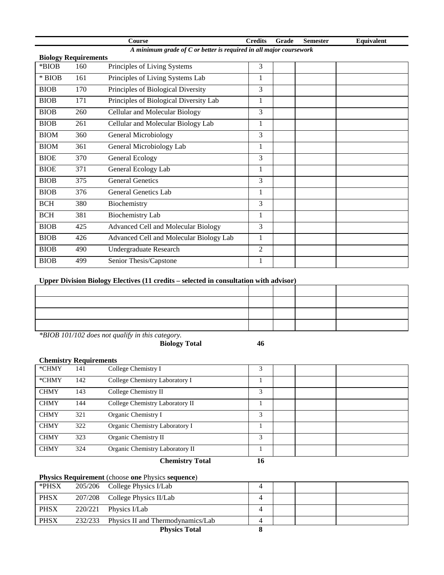|                             |                                                                      | Course                                     | <b>Credits</b> | Grade | <b>Semester</b> | Equivalent |  |
|-----------------------------|----------------------------------------------------------------------|--------------------------------------------|----------------|-------|-----------------|------------|--|
|                             | A minimum grade of $C$ or better is required in all major coursework |                                            |                |       |                 |            |  |
| <b>Biology Requirements</b> |                                                                      |                                            |                |       |                 |            |  |
| *BIOB                       | 160                                                                  | Principles of Living Systems               | 3              |       |                 |            |  |
| $*$ BIOB                    | 161                                                                  | Principles of Living Systems Lab           | 1              |       |                 |            |  |
| <b>BIOB</b>                 | 170                                                                  | Principles of Biological Diversity         | 3              |       |                 |            |  |
| <b>BIOB</b>                 | 171                                                                  | Principles of Biological Diversity Lab     | 1              |       |                 |            |  |
| <b>BIOB</b>                 | 260                                                                  | Cellular and Molecular Biology             | 3              |       |                 |            |  |
| <b>BIOB</b>                 | 261                                                                  | Cellular and Molecular Biology Lab         | 1              |       |                 |            |  |
| <b>BIOM</b>                 | 360                                                                  | <b>General Microbiology</b>                | 3              |       |                 |            |  |
| <b>BIOM</b>                 | 361                                                                  | General Microbiology Lab                   | 1              |       |                 |            |  |
| <b>BIOE</b>                 | 370                                                                  | General Ecology                            | 3              |       |                 |            |  |
| <b>BIOE</b>                 | 371                                                                  | General Ecology Lab                        | 1              |       |                 |            |  |
| <b>BIOB</b>                 | 375                                                                  | <b>General Genetics</b>                    | 3              |       |                 |            |  |
| <b>BIOB</b>                 | 376                                                                  | General Genetics Lab                       | 1              |       |                 |            |  |
| <b>BCH</b>                  | 380                                                                  | Biochemistry                               | 3              |       |                 |            |  |
| <b>BCH</b>                  | 381                                                                  | <b>Biochemistry Lab</b>                    | $\mathbf{1}$   |       |                 |            |  |
| <b>BIOB</b>                 | 425                                                                  | <b>Advanced Cell and Molecular Biology</b> | 3              |       |                 |            |  |
| <b>BIOB</b>                 | 426                                                                  | Advanced Cell and Molecular Biology Lab    | 1              |       |                 |            |  |
| <b>BIOB</b>                 | 490                                                                  | <b>Undergraduate Research</b>              | $\overline{2}$ |       |                 |            |  |
| <b>BIOB</b>                 | 499                                                                  | Senior Thesis/Capstone                     | 1              |       |                 |            |  |

## **Upper Division Biology Electives (11 credits – selected in consultation with advisor)**

| . |  |  |
|---|--|--|
|   |  |  |
|   |  |  |
|   |  |  |
|   |  |  |

*\*BIOB 101/102 does not qualify in this category.*

**Biology Total 46**

# **Chemistry Requirements**

| *CHMY       | 141 | College Chemistry I             | 3  |  |  |
|-------------|-----|---------------------------------|----|--|--|
| *CHMY       | 142 | College Chemistry Laboratory I  |    |  |  |
| <b>CHMY</b> | 143 | College Chemistry II            | 3  |  |  |
| <b>CHMY</b> | 144 | College Chemistry Laboratory II |    |  |  |
| <b>CHMY</b> | 321 | Organic Chemistry I             | 3  |  |  |
| <b>CHMY</b> | 322 | Organic Chemistry Laboratory I  |    |  |  |
| <b>CHMY</b> | 323 | Organic Chemistry II            | 3  |  |  |
| <b>CHMY</b> | 324 | Organic Chemistry Laboratory II |    |  |  |
|             |     | <b>Chemistry Total</b>          | 16 |  |  |

# **Physics Requirement** (choose **one** Physics **sequence**)

| *PHSX       |         | 205/206 College Physics I/Lab     |  |  |
|-------------|---------|-----------------------------------|--|--|
| <b>PHSX</b> |         | 207/208 College Physics II/Lab    |  |  |
| <b>PHSX</b> | 220/221 | Physics I/Lab                     |  |  |
| <b>PHSX</b> | 232/233 | Physics II and Thermodynamics/Lab |  |  |
|             |         | <b>Physics Total</b>              |  |  |